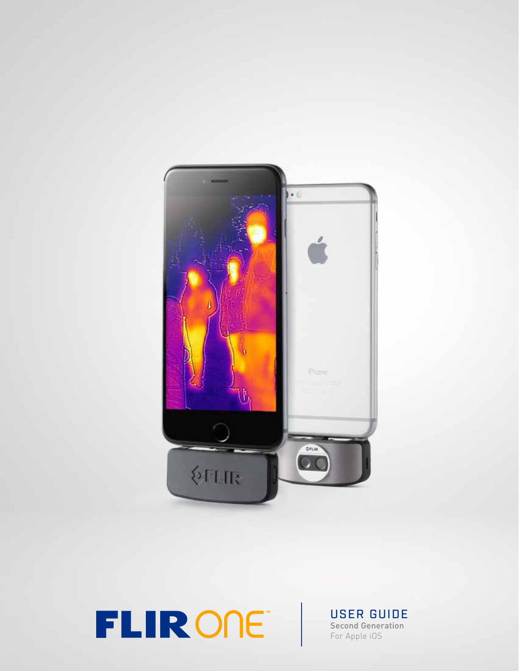

**TLIRONE** USER GUIDE

Second Generation For Apple iOS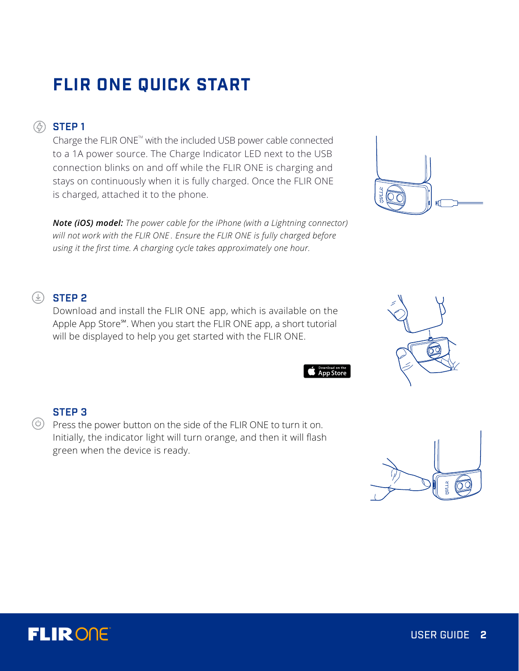# **FLIR ONE QUICK START**

## **<sup><sup>***A***</sup>** STEP 1</sup>

Charge the FLIR ONE $^{\text{m}}$  with the included USB power cable connected to a 1A power source. The Charge Indicator LED next to the USB connection blinks on and off while the FLIR ONE is charging and stays on continuously when it is fully charged. Once the FLIR ONE is charged, attached it to the phone.

*Note (iOS) model: The power cable for the iPhone (with a Lightning connector) will not work with the FLIR ONE . Ensure the FLIR ONE is fully charged before using it the first time. A charging cycle takes approximately one hour.*

# $\circledcirc$  STEP 2

Download and install the FLIR ONE app, which is available on the Apple App Store℠. When you start the FLIR ONE app, a short tutorial will be displayed to help you get started with the FLIR ONE.

## STEP 3

 $\circledcirc$  Press the power button on the side of the FLIR ONE to turn it on. Initially, the indicator light will turn orange, and then it will flash green when the device is ready.









App Store

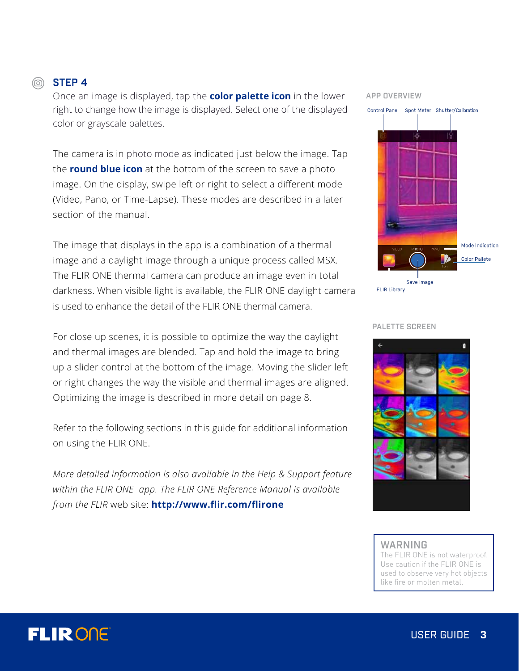# **FLIRONE**

## **STEP 4**

Once an image is displayed, tap the **color palette icon** in the lower right to change how the image is displayed. Select one of the displayed color or grayscale palettes.

The camera is in photo mode as indicated just below the image. Tap the **round blue icon** at the bottom of the screen to save a photo image. On the display, swipe left or right to select a different mode (Video, Pano, or Time-Lapse). These modes are described in a later section of the manual.

The image that displays in the app is a combination of a thermal image and a daylight image through a unique process called MSX. The FLIR ONE thermal camera can produce an image even in total darkness. When visible light is available, the FLIR ONE daylight camera is used to enhance the detail of the FLIR ONE thermal camera.

For close up scenes, it is possible to optimize the way the daylight and thermal images are blended. Tap and hold the image to bring up a slider control at the bottom of the image. Moving the slider left or right changes the way the visible and thermal images are aligned. Optimizing the image is described in more detail on page 8.

Refer to the following sections in this guide for additional information on using the FLIR ONE.

*More detailed information is also available in the Help & Support feature within the FLIR ONE app. The FLIR ONE Reference Manual is available from the FLIR* web site: **http://www.flir.com/flirone**

## APP OVERVIEW



PALETTE SCREEN



#### WARNING

The FLIR ONE is not waterproof. Use caution if the FLIR ONE is used to observe very hot objects like fire or molten metal.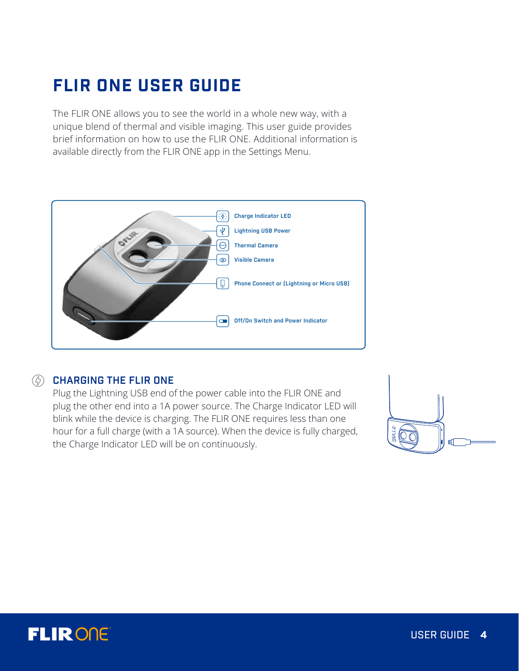# **FLIR ONE USER GUIDE**

The FLIR ONE allows you to see the world in a whole new way, with a unique blend of thermal and visible imaging. This user guide provides brief information on how to use the FLIR ONE. Additional information is available directly from the FLIR ONE app in the Settings Menu.



## *C* CHARGING THE FLIR ONE

Plug the Lightning USB end of the power cable into the FLIR ONE and plug the other end into a 1A power source. The Charge Indicator LED will blink while the device is charging. The FLIR ONE requires less than one hour for a full charge (with a 1A source). When the device is fully charged, the Charge Indicator LED will be on continuously.



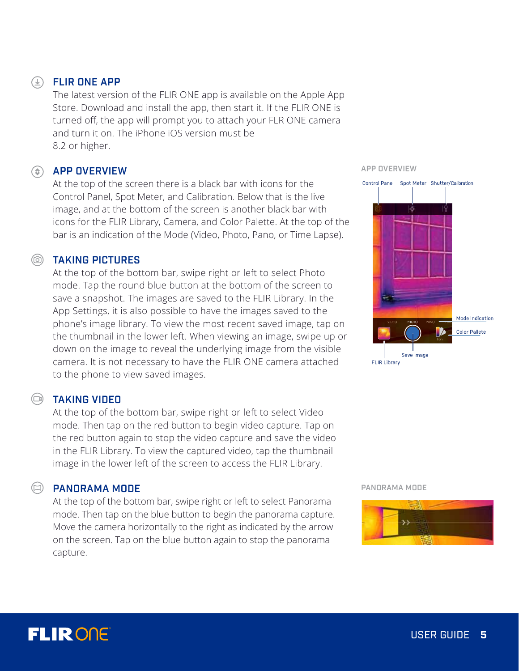## FLIR ONE APP

The latest version of the FLIR ONE app is available on the Apple App Store. Download and install the app, then start it. If the FLIR ONE is turned off, the app will prompt you to attach your FLR ONE camera and turn it on. The iPhone iOS version must be 8.2 or higher.

## **(c)** APP OVERVIEW

At the top of the screen there is a black bar with icons for the Control Panel, Spot Meter, and Calibration. Below that is the live image, and at the bottom of the screen is another black bar with icons for the FLIR Library, Camera, and Color Palette. At the top of the bar is an indication of the Mode (Video, Photo, Pano, or Time Lapse).

### TAKING PICTURES

At the top of the bottom bar, swipe right or left to select Photo mode. Tap the round blue button at the bottom of the screen to save a snapshot. The images are saved to the FLIR Library. In the App Settings, it is also possible to have the images saved to the phone's image library. To view the most recent saved image, tap on the thumbnail in the lower left. When viewing an image, swipe up or down on the image to reveal the underlying image from the visible camera. It is not necessary to have the FLIR ONE camera attached to the phone to view saved images.

## TAKING VIDEO

At the top of the bottom bar, swipe right or left to select Video mode. Then tap on the red button to begin video capture. Tap on the red button again to stop the video capture and save the video in the FLIR Library. To view the captured video, tap the thumbnail image in the lower left of the screen to access the FLIR Library.

### PANORAMA MODE

At the top of the bottom bar, swipe right or left to select Panorama mode. Then tap on the blue button to begin the panorama capture. Move the camera horizontally to the right as indicated by the arrow on the screen. Tap on the blue button again to stop the panorama capture.

APP OVERVIEW



#### PANORAMA MODE



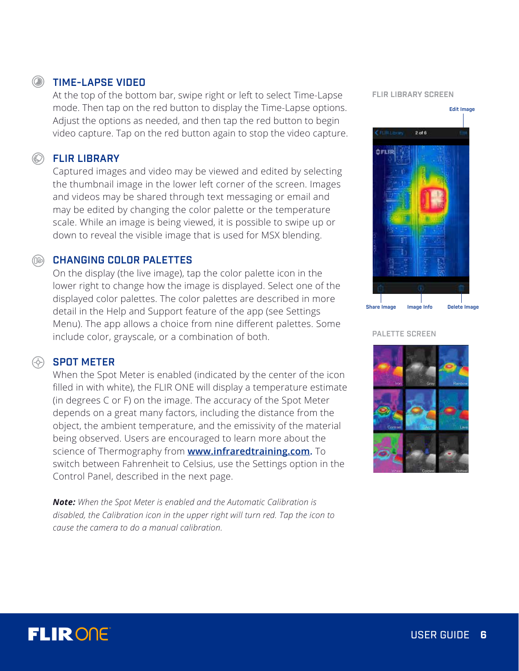# **FLIRONE**

# **Solution TIME-LAPSE VIDEO**

At the top of the bottom bar, swipe right or left to select Time-Lapse mode. Then tap on the red button to display the Time-Lapse options. Adjust the options as needed, and then tap the red button to begin video capture. Tap on the red button again to stop the video capture.

## **SELIR LIBRARY**

Captured images and video may be viewed and edited by selecting the thumbnail image in the lower left corner of the screen. Images and videos may be shared through text messaging or email and may be edited by changing the color palette or the temperature scale. While an image is being viewed, it is possible to swipe up or down to reveal the visible image that is used for MSX blending.

## **CHANGING COLOR PALETTES**

On the display (the live image), tap the color palette icon in the lower right to change how the image is displayed. Select one of the displayed color palettes. The color palettes are described in more detail in the Help and Support feature of the app (see Settings Menu). The app allows a choice from nine different palettes. Some include color, grayscale, or a combination of both.

## $\circledcirc$  SPOT METER

When the Spot Meter is enabled (indicated by the center of the icon filled in with white), the FLIR ONE will display a temperature estimate (in degrees C or F) on the image. The accuracy of the Spot Meter depends on a great many factors, including the distance from the object, the ambient temperature, and the emissivity of the material being observed. Users are encouraged to learn more about the science of Thermography from **www.infraredtraining.com.** To switch between Fahrenheit to Celsius, use the Settings option in the Control Panel, described in the next page.

*Note: When the Spot Meter is enabled and the Automatic Calibration is disabled, the Calibration icon in the upper right will turn red. Tap the icon to cause the camera to do a manual calibration.*

FLIR LIBRARY SCREEN



PALETTE SCREEN

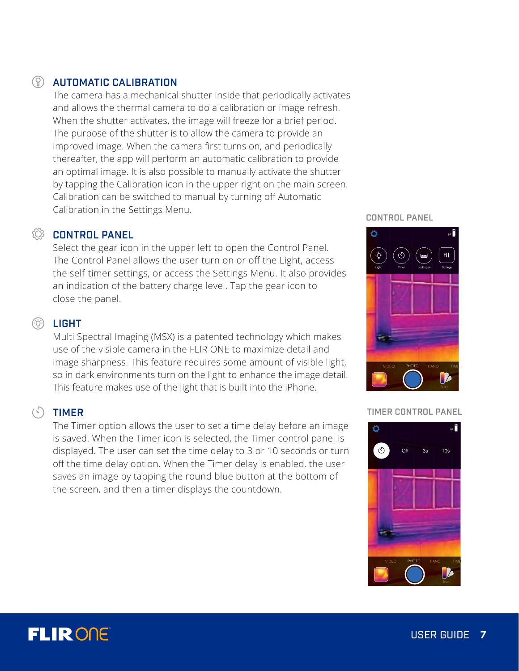## AUTOMATIC CALIBRATION

The camera has a mechanical shutter inside that periodically activates and allows the thermal camera to do a calibration or image refresh. When the shutter activates, the image will freeze for a brief period. The purpose of the shutter is to allow the camera to provide an improved image. When the camera first turns on, and periodically thereafter, the app will perform an automatic calibration to provide an optimal image. It is also possible to manually activate the shutter by tapping the Calibration icon in the upper right on the main screen. Calibration can be switched to manual by turning off Automatic Calibration in the Settings Menu.

## **CONTROL PANEL**

Select the gear icon in the upper left to open the Control Panel. The Control Panel allows the user turn on or off the Light, access the self-timer settings, or access the Settings Menu. It also provides an indication of the battery charge level. Tap the gear icon to close the panel.

## **(o)** LIGHT

Multi Spectral Imaging (MSX) is a patented technology which makes use of the visible camera in the FLIR ONE to maximize detail and image sharpness. This feature requires some amount of visible light, so in dark environments turn on the light to enhance the image detail. This feature makes use of the light that is built into the iPhone.

## **(S)** TIMER

The Timer option allows the user to set a time delay before an image is saved. When the Timer icon is selected, the Timer control panel is displayed. The user can set the time delay to 3 or 10 seconds or turn off the time delay option. When the Timer delay is enabled, the user saves an image by tapping the round blue button at the bottom of the screen, and then a timer displays the countdown.

#### CONTROL PANEL



#### TIMER CONTROL PANEL



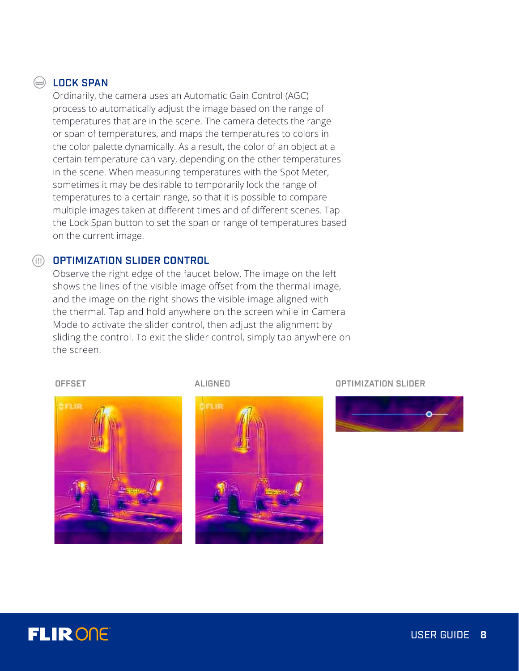## **EDCK SPAN**

Ordinarily, the camera uses an Automatic Gain Control (AGC) process to automatically adjust the image based on the range of temperatures that are in the scene. The camera detects the range or span of temperatures, and maps the temperatures to colors in the color palette dynamically. As a result, the color of an object at a certain temperature can vary, depending on the other temperatures in the scene. When measuring temperatures with the Spot Meter, sometimes it may be desirable to temporarily lock the range of temperatures to a certain range, so that it is possible to compare multiple images taken at different times and of different scenes. Tap the Lock Span button to set the span or range of temperatures based on the current image.

## OPTIMIZATION SLIDER CONTROL

Observe the right edge of the faucet below. The image on the left shows the lines of the visible image offset from the thermal image, and the image on the right shows the visible image aligned with the thermal. Tap and hold anywhere on the screen while in Camera Mode to activate the slider control, then adjust the alignment by sliding the control. To exit the slider control, simply tap anywhere on the screen.







OFFSET ALIGNED ALIGNED OPTIMIZATION SLIDER



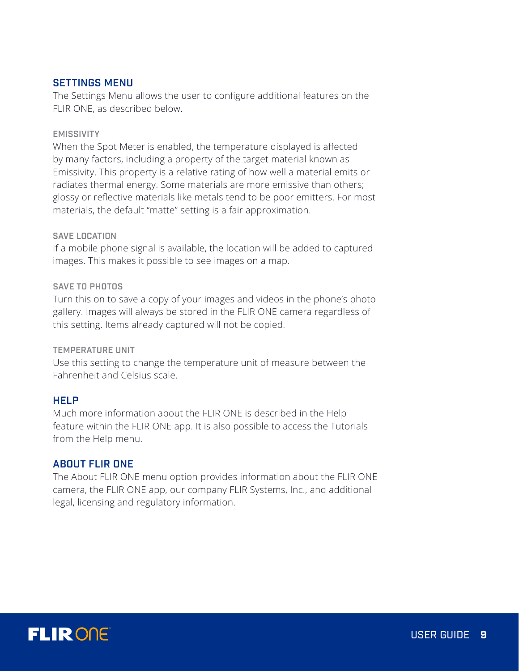## SETTINGS MENU

The Settings Menu allows the user to configure additional features on the FLIR ONE, as described below.

#### EMISSIVITY

When the Spot Meter is enabled, the temperature displayed is affected by many factors, including a property of the target material known as Emissivity. This property is a relative rating of how well a material emits or radiates thermal energy. Some materials are more emissive than others; glossy or reflective materials like metals tend to be poor emitters. For most materials, the default "matte" setting is a fair approximation.

### SAVE LOCATION

If a mobile phone signal is available, the location will be added to captured images. This makes it possible to see images on a map.

#### SAVE TO PHOTOS

Turn this on to save a copy of your images and videos in the phone's photo gallery. Images will always be stored in the FLIR ONE camera regardless of this setting. Items already captured will not be copied.

#### TEMPERATURE UNIT

Use this setting to change the temperature unit of measure between the Fahrenheit and Celsius scale.

### **HELP**

Much more information about the FLIR ONE is described in the Help feature within the FLIR ONE app. It is also possible to access the Tutorials from the Help menu.

### ABOUT FLIR ONE

The About FLIR ONE menu option provides information about the FLIR ONE camera, the FLIR ONE app, our company FLIR Systems, Inc., and additional legal, licensing and regulatory information.

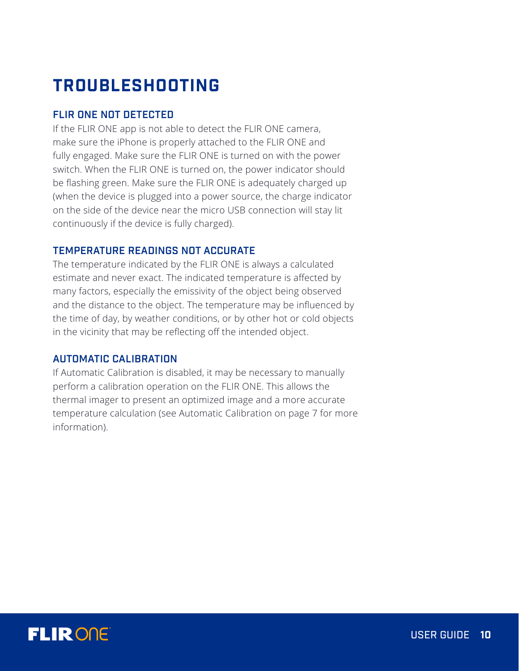# **TROUBLESHOOTING**

## FLIR ONE NOT DETECTED

If the FLIR ONE app is not able to detect the FLIR ONE camera, make sure the iPhone is properly attached to the FLIR ONE and fully engaged. Make sure the FLIR ONE is turned on with the power switch. When the FLIR ONE is turned on, the power indicator should be flashing green. Make sure the FLIR ONE is adequately charged up (when the device is plugged into a power source, the charge indicator on the side of the device near the micro USB connection will stay lit continuously if the device is fully charged).

### TEMPERATURE READINGS NOT ACCURATE

The temperature indicated by the FLIR ONE is always a calculated estimate and never exact. The indicated temperature is affected by many factors, especially the emissivity of the object being observed and the distance to the object. The temperature may be influenced by the time of day, by weather conditions, or by other hot or cold objects in the vicinity that may be reflecting off the intended object.

## AUTOMATIC CALIBRATION

If Automatic Calibration is disabled, it may be necessary to manually perform a calibration operation on the FLIR ONE. This allows the thermal imager to present an optimized image and a more accurate temperature calculation (see Automatic Calibration on page 7 for more information).